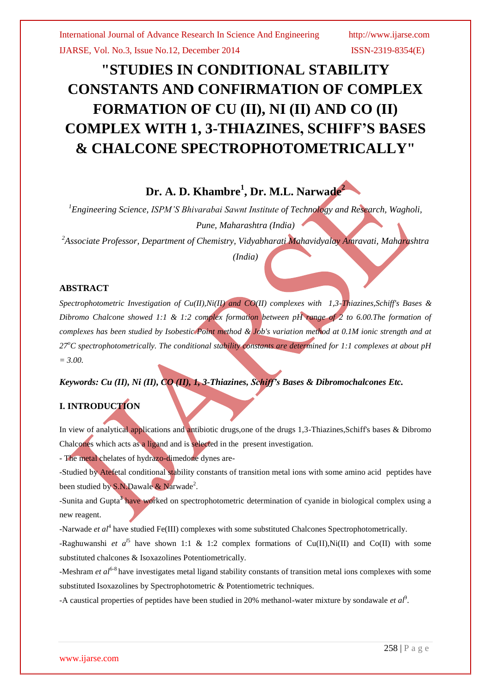# **"STUDIES IN CONDITIONAL STABILITY CONSTANTS AND CONFIRMATION OF COMPLEX FORMATION OF CU (II), NI (II) AND CO (II) COMPLEX WITH 1, 3-THIAZINES, SCHIFF'S BASES & CHALCONE SPECTROPHOTOMETRICALLY"**

# **Dr. A. D. Khambre<sup>1</sup> , Dr. M.L. Narwade<sup>2</sup>**

*<sup>1</sup>Engineering Science, ISPM'S Bhivarabai Sawnt Institute of Technology and Research, Wagholi, Pune, Maharashtra (India)*

*<sup>2</sup>Associate Professor, Department of Chemistry, Vidyabharati Mahavidyalay Amravati, Maharashtra*

*(India)*

#### **ABSTRACT**

*Spectrophotometric Investigation of Cu(II),Ni(II) and CO(II) complexes with 1,3-Thiazines,Schiff's Bases & Dibromo Chalcone showed 1:1 & 1:2 complex formation between pH range of 2 to 6.00.The formation of complexes has been studied by Isobestic Point method & Job's variation method at 0.1M ionic strength and at 27<sup>o</sup>C spectrophotometrically. The conditional stability constants are determined for 1:1 complexes at about pH = 3.00.*

*Keywords: Cu (II), Ni (II), CO (II), 1, 3-Thiazines, Schiff's Bases & Dibromochalcones Etc.*

## **I. INTRODUCTION**

In view of analytical applications and antibiotic drugs,one of the drugs 1,3-Thiazines,Schiff's bases & Dibromo Chalcones which acts as a ligand and is selected in the present investigation.

- The metal chelates of hydrazo-dimedone dynes are-

-Studied by Atefetal conditional stability constants of transition metal ions with some amino acid peptides have been studied by S.N.Dawale & Narwade<sup>2</sup>.

-Sunita and Gupta**<sup>3</sup>** have worked on spectrophotometric determination of cyanide in biological complex using a new reagent.

-Narwade *et al*<sup>4</sup> have studied Fe(III) complexes with some substituted Chalcones Spectrophotometrically.

-Raghuwanshi *et a*<sup> $15$ </sup> have shown 1:1 & 1:2 complex formations of Cu(II),Ni(II) and Co(II) with some substituted chalcones & Isoxazolines Potentiometrically.

-Meshram *et al*<sup>6-8</sup> have investigates metal ligand stability constants of transition metal ions complexes with some substituted Isoxazolines by Spectrophotometric & Potentiometric techniques.

-A caustical properties of peptides have been studied in 20% methanol-water mixture by sondawale *et al*<sup>9</sup>.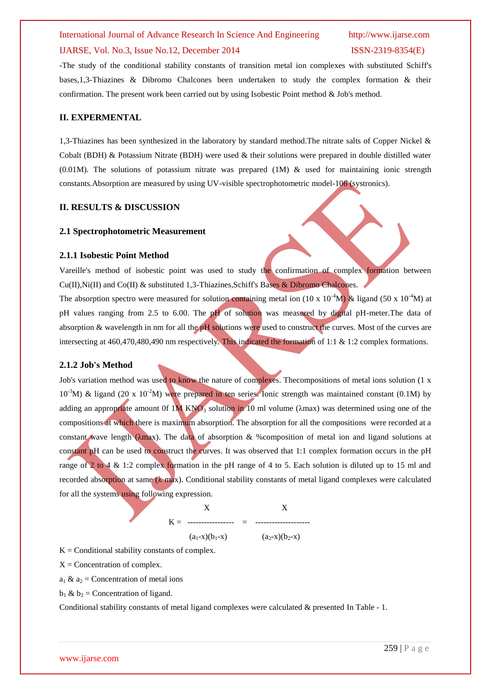#### International Journal of Advance Research In Science And Engineering http://www.ijarse.com

# IJARSE, Vol. No.3, Issue No.12, December 2014 ISSN-2319-8354(E)

# -The study of the conditional stability constants of transition metal ion complexes with substituted Schiff's bases,1,3-Thiazines & Dibromo Chalcones been undertaken to study the complex formation & their confirmation. The present work been carried out by using Isobestic Point method & Job's method.

#### **II. EXPERMENTAL**

1,3-Thiazines has been synthesized in the laboratory by standard method.The nitrate salts of Copper Nickel & Cobalt (BDH) & Potassium Nitrate (BDH) were used & their solutions were prepared in double distilled water (0.01M). The solutions of potassium nitrate was prepared  $(1M)$  & used for maintaining ionic strength constants.Absorption are measured by using UV-visible spectrophotometric model-106 (systronics).

#### **II. RESULTS & DISCUSSION**

#### **2.1 Spectrophotometric Measurement**

#### **2.1.1 Isobestic Point Method**

Vareille's method of isobestic point was used to study the confirmation of complex formation between Cu(II),Ni(II) and Co(II) & substituted 1,3-Thiazines,Schiff's Bases & Dibromo Chalcones.

The absorption spectro were measured for solution containing metal ion (10 x 10<sup>-4</sup>M) & ligand (50 x 10<sup>-4</sup>M) at pH values ranging from 2.5 to 6.00. The pH of solution was measured by digital pH-meter. The data of absorption & wavelength in nm for all the pH solutions were used to construct the curves. Most of the curves are intersecting at 460,470,480,490 nm respectively. This indicated the formation of 1:1 & 1:2 complex formations.

#### **2.1.2 Job's Method**

Job's variation method was used to know the nature of complexes. Thecompositions of metal ions solution (1 x  $10^{-3}$ M) & ligand (20 x 10<sup>-2</sup>M) were prepared in ten series. Ionic strength was maintained constant (0.1M) by adding an appropriate amount 0f 1M KNO<sub>3</sub> solution in 10 ml volume ( $\lambda$ max) was determined using one of the compositions at which there is maximum absorption. The absorption for all the compositions were recorded at a constant wave length (λmax). The data of absorption & %composition of metal ion and ligand solutions at constant pH can be used to construct the curves. It was observed that 1:1 complex formation occurs in the pH range of 2 to 4 & 1:2 complex formation in the pH range of 4 to 5. Each solution is diluted up to 15 ml and recorded absorption at same  $(\lambda \text{ max})$ . Conditional stability constants of metal ligand complexes were calculated for all the systems using following expression.

$$
K = \frac{X}{(a_1 - x)(b_1 - x)} = \frac{X}{(a_2 - x)(b_2 - x)}
$$

 $K =$  Conditional stability constants of complex.

 $X =$  Concentration of complex.

 $a_1 \& a_2$  = Concentration of metal ions

 $b_1 \& b_2$  = Concentration of ligand.

Conditional stability constants of metal ligand complexes were calculated & presented In Table - 1.